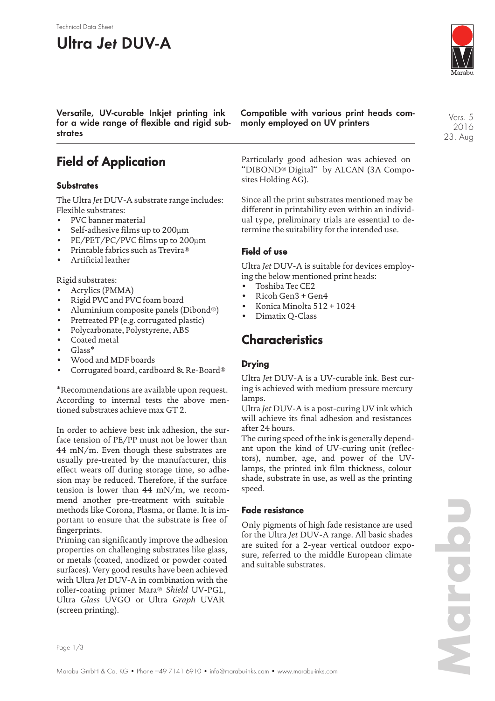#### Technical Data Sheet

# **Ultra Jet DUV-A**



**Versatile, UV-curable Inkjet printing ink for a wide range of flexible and rigid substrates**

## **Field of Application**

#### **Substrates**

The Ultra *Jet* DUV-A substrate range includes: Flexible substrates:

- PVC banner material
- Self-adhesive films up to 200µm
- PE/PET/PC/PVC films up to 200µm
- Printable fabrics such as Trevira®
- Artificial leather

Rigid substrates:

- Acrylics (PMMA)
- Rigid PVC and PVC foam board
- Aluminium composite panels (Dibond®)
- Pretreated PP (e.g. corrugated plastic)
- Polycarbonate, Polystyrene, ABS
- Coated metal
- Glass\*
- Wood and MDF boards
- Corrugated board, cardboard & Re-Board®

\*Recommendations are available upon request. According to internal tests the above mentioned substrates achieve max GT 2.

In order to achieve best ink adhesion, the surface tension of PE/PP must not be lower than 44 mN/m. Even though these substrates are usually pre-treated by the manufacturer, this effect wears off during storage time, so adhesion may be reduced. Therefore, if the surface tension is lower than 44 mN/m, we recommend another pre-treatment with suitable methods like Corona, Plasma, or flame. It is important to ensure that the substrate is free of fingerprints.

Priming can significantly improve the adhesion properties on challenging substrates like glass, or metals (coated, anodized or powder coated surfaces). Very good results have been achieved with Ultra *Jet* DUV-A in combination with the roller-coating primer Mara® *Shield* UV-PGL, Ultra *Glass* UVGO or Ultra *Graph* UVAR (screen printing).

**Compatible with various print heads commonly employed on UV printers**

Particularly good adhesion was achieved on "DIBOND® Digital" by ALCAN (3A Composites Holding AG).

Since all the print substrates mentioned may be different in printability even within an individual type, preliminary trials are essential to determine the suitability for the intended use.

#### **Field of use**

Ultra *Jet* DUV-A is suitable for devices employing the below mentioned print heads:

- Toshiba Tec CE2
- Ricoh Gen3 + Gen4
- Konica Minolta 512 + 1024
- Dimatix Q-Class

### **Characteristics**

### **Drying**

Ultra *Jet* DUV-A is a UV-curable ink. Best curing is achieved with medium pressure mercury lamps.

Ultra *Jet* DUV-A is a post-curing UV ink which will achieve its final adhesion and resistances after 24 hours.

The curing speed of the ink is generally dependant upon the kind of UV-curing unit (reflectors), number, age, and power of the UVlamps, the printed ink film thickness, colour shade, substrate in use, as well as the printing speed.

#### **Fade resistance**

Only pigments of high fade resistance are used for the Ultra *Jet* DUV-A range. All basic shades are suited for a 2-year vertical outdoor exposure, referred to the middle European climate and suitable substrates.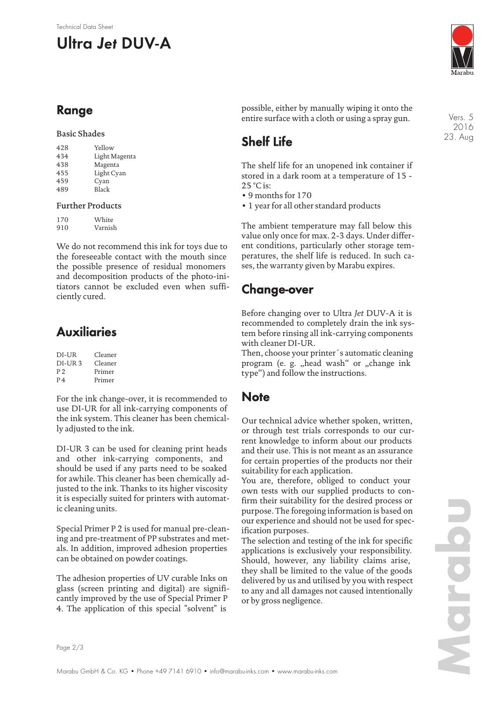# **Ultra Jet DUV-A**



## **Range**

### Basic Shades

| 428 | Yellow        |
|-----|---------------|
| 434 | Light Magenta |
| 438 | Magenta       |
| 455 | Light Cyan    |
| 459 | Cyan          |
| 489 | Black         |
|     |               |

#### Further Products

| 170 | White   |
|-----|---------|
| 910 | Varnish |

We do not recommend this ink for toys due to the foreseeable contact with the mouth since the possible presence of residual monomers and decomposition products of the photo-initiators cannot be excluded even when sufficiently cured.

## **Auxiliaries**

| DI-UR          | Cleaner |
|----------------|---------|
| $DI-IIR3$      | Cleaner |
| P <sub>2</sub> | Primer  |
| P <sub>4</sub> | Primer  |

For the ink change-over, it is recommended to use DI-UR for all ink-carrying components of the ink system. This cleaner has been chemically adjusted to the ink.

DI-UR 3 can be used for cleaning print heads and other ink-carrying components, and should be used if any parts need to be soaked for awhile. This cleaner has been chemically adjusted to the ink. Thanks to its higher viscosity it is especially suited for printers with automatic cleaning units.

Special Primer P 2 is used for manual pre-cleaning and pre-treatment of PP substrates and metals. In addition, improved adhesion properties can be obtained on powder coatings.

The adhesion properties of UV curable Inks on glass (screen printing and digital) are significantly improved by the use of Special Primer P 4. The application of this special "solvent" is

possible, either by manually wiping it onto the entire surface with a cloth or using a spray gun.

## **Shelf Life**

The shelf life for an unopened ink container if stored in a dark room at a temperature of 15 -  $25^\circ$ C is:

• 9 months for 170

• 1 year for all other standard products

The ambient temperature may fall below this value only once for max. 2-3 days. Under different conditions, particularly other storage temperatures, the shelf life is reduced. In such cases, the warranty given by Marabu expires.

## **Change-over**

Before changing over to Ultra *Jet* DUV-A it is recommended to completely drain the ink system before rinsing all ink-carrying components with cleaner DI-UR.

Then, choose your printer´s automatic cleaning program (e. g. "head wash" or "change ink type") and follow the instructions.

## **Note**

Our technical advice whether spoken, written, or through test trials corresponds to our current knowledge to inform about our products and their use. This is not meant as an assurance for certain properties of the products nor their suitability for each application.

You are, therefore, obliged to conduct your own tests with our supplied products to confirm their suitability for the desired process or purpose. The foregoing information is based on our experience and should not be used for specification purposes.

The selection and testing of the ink for specific applications is exclusively your responsibility. Should, however, any liability claims arise, they shall be limited to the value of the goods delivered by us and utilised by you with respect to any and all damages not caused intentionally or by gross negligence.

Vers. 5 2016 23. Aug

Page 2/3